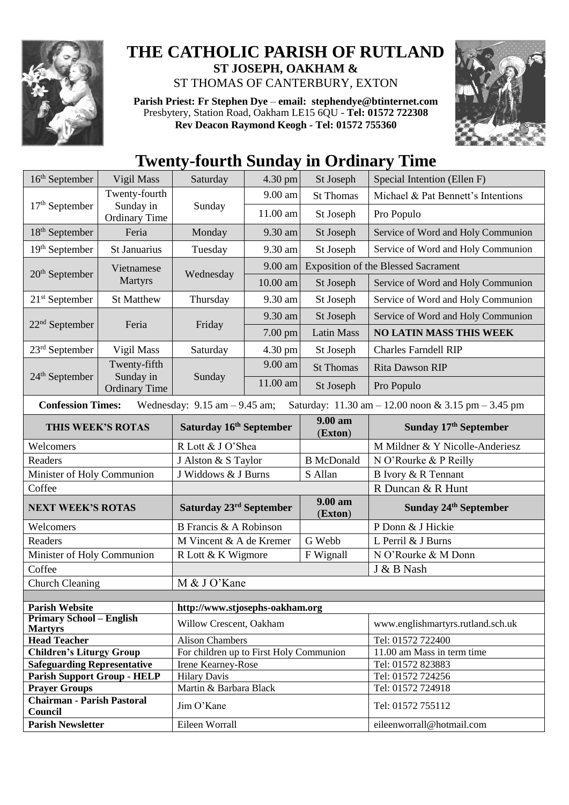

## **THE CATHOLIC PARISH OF RUTLAND ST JOSEPH, OAKHAM &**  ST THOMAS OF CANTERBURY, EXTON

**Parish Priest: Fr Stephen Dye** – **[email: stephendye@btinternet.com](mailto:email:%20%20stephendye@btinternet.com)** Presbytery, Station Road, Oakham LE15 6QU - **Tel: 01572 722308 Rev Deacon Raymond Keogh - Tel: 01572 755360**



## **Twenty-fourth Sunday in Ordinary Time**

| $16th$ September                                                                                                                                        | Vigil Mass                        | Saturday                                | 4.30 pm   | St Joseph                                  | Special Intention (Ellen F)                    |  |
|---------------------------------------------------------------------------------------------------------------------------------------------------------|-----------------------------------|-----------------------------------------|-----------|--------------------------------------------|------------------------------------------------|--|
| $17th$ September                                                                                                                                        | Twenty-fourth                     | Sunday                                  | 9.00 am   | <b>St Thomas</b>                           | Michael & Pat Bennett's Intentions             |  |
|                                                                                                                                                         | Sunday in<br><b>Ordinary Time</b> |                                         | 11.00 am  | St Joseph                                  | Pro Populo                                     |  |
| $18th$ September                                                                                                                                        | Feria                             | Monday                                  | 9.30 am   | St Joseph                                  | Service of Word and Holy Communion             |  |
| 19th September                                                                                                                                          | St Januarius                      | Tuesday                                 | 9.30 am   | St Joseph                                  | Service of Word and Holy Communion             |  |
| $20th$ September                                                                                                                                        | Vietnamese<br><b>Martyrs</b>      | Wednesday                               | $9.00$ am | <b>Exposition of the Blessed Sacrament</b> |                                                |  |
|                                                                                                                                                         |                                   |                                         | 10.00 am  | St Joseph                                  | Service of Word and Holy Communion             |  |
| $21st$ September                                                                                                                                        | <b>St Matthew</b>                 | Thursday                                | 9.30 am   | St Joseph                                  | Service of Word and Holy Communion             |  |
| $22nd$ September                                                                                                                                        | Feria                             | Friday                                  | 9.30 am   | St Joseph                                  | Service of Word and Holy Communion             |  |
|                                                                                                                                                         |                                   |                                         | 7.00 pm   | <b>Latin Mass</b>                          | <b>NO LATIN MASS THIS WEEK</b>                 |  |
| 23 <sup>rd</sup> September                                                                                                                              | Vigil Mass                        | Saturday                                | 4.30 pm   | St Joseph                                  | <b>Charles Farndell RIP</b>                    |  |
|                                                                                                                                                         | Twenty-fifth                      | Sunday                                  | 9.00 am   | <b>St Thomas</b>                           | Rita Dawson RIP                                |  |
| $24th$ September                                                                                                                                        | Sunday in<br><b>Ordinary Time</b> |                                         | 11.00 am  | St Joseph                                  | Pro Populo                                     |  |
| <b>Confession Times:</b><br>Wednesday: $9.15$ am $- 9.45$ am;<br>Saturday: $11.30 \text{ am} - 12.00 \text{ noon} \& 3.15 \text{ pm} - 3.45 \text{ pm}$ |                                   |                                         |           |                                            |                                                |  |
| THIS WEEK'S ROTAS                                                                                                                                       |                                   | Saturday 16th September                 |           | $9.00 a$ m<br>(Exton)                      | Sunday 17th September                          |  |
| Welcomers                                                                                                                                               |                                   | R Lott & J O'Shea                       |           |                                            | M Mildner & Y Nicolle-Anderiesz                |  |
|                                                                                                                                                         |                                   |                                         |           |                                            |                                                |  |
| Readers                                                                                                                                                 |                                   | J Alston & S Taylor                     |           | <b>B</b> McDonald                          | N O'Rourke & P Reilly                          |  |
| Minister of Holy Communion                                                                                                                              |                                   | J Widdows & J Burns                     |           | S Allan                                    | B Ivory & R Tennant                            |  |
| Coffee                                                                                                                                                  |                                   |                                         |           |                                            | R Duncan & R Hunt                              |  |
| <b>NEXT WEEK'S ROTAS</b>                                                                                                                                |                                   | Saturday 23 <sup>rd</sup> September     |           | 9.00 am<br>(Exton)                         | Sunday 24 <sup>th</sup> September              |  |
| Welcomers                                                                                                                                               |                                   | <b>B</b> Francis & A Robinson           |           |                                            | P Donn & J Hickie                              |  |
| Readers                                                                                                                                                 |                                   | M Vincent & A de Kremer                 |           | G Webb                                     | L Perril & J Burns                             |  |
| Minister of Holy Communion                                                                                                                              |                                   | R Lott & K Wigmore                      |           | F Wignall                                  | N O'Rourke & M Donn                            |  |
| Coffee                                                                                                                                                  |                                   |                                         |           |                                            | J & B Nash                                     |  |
| <b>Church Cleaning</b>                                                                                                                                  |                                   | M & J O'Kane                            |           |                                            |                                                |  |
|                                                                                                                                                         |                                   |                                         |           |                                            |                                                |  |
| <b>Parish Website</b>                                                                                                                                   |                                   | http://www.stjosephs-oakham.org         |           |                                            |                                                |  |
| <b>Primary School - English</b><br><b>Martyrs</b>                                                                                                       |                                   | Willow Crescent, Oakham                 |           |                                            | www.englishmartyrs.rutland.sch.uk              |  |
| <b>Head Teacher</b>                                                                                                                                     |                                   | <b>Alison Chambers</b>                  |           |                                            | Tel: 01572 722400                              |  |
| <b>Children's Liturgy Group</b>                                                                                                                         |                                   | For children up to First Holy Communion |           |                                            | 11.00 am Mass in term time                     |  |
| <b>Safeguarding Representative</b>                                                                                                                      |                                   | Irene Kearney-Rose                      |           |                                            | Tel: 01572 823883                              |  |
| <b>Parish Support Group - HELP</b>                                                                                                                      |                                   | <b>Hilary Davis</b>                     |           |                                            | Tel: 01572 724256                              |  |
| <b>Prayer Groups</b>                                                                                                                                    |                                   | Martin & Barbara Black                  |           |                                            | Tel: 01572 724918                              |  |
| <b>Chairman - Parish Pastoral</b><br>Council<br><b>Parish Newsletter</b>                                                                                |                                   | Jim O'Kane<br>Eileen Worrall            |           |                                            | Tel: 01572 755112<br>eileenworrall@hotmail.com |  |